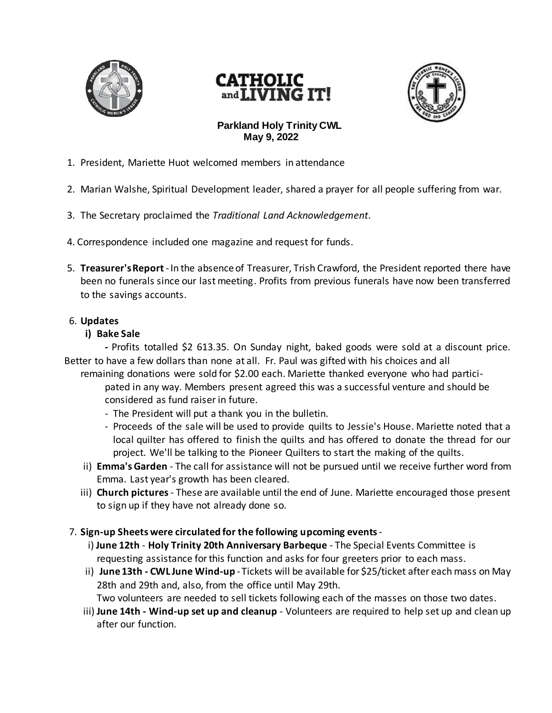

# **CATHOLIC**<br>and **LIVING** IT!



# **Parkland Holy Trinity CWL May 9, 2022**

- 1. President, Mariette Huot welcomed members in attendance
- 2. Marian Walshe, Spiritual Development leader, shared a prayer for all people suffering from war.
- 3. The Secretary proclaimed the *Traditional Land Acknowledgement*.
- 4. Correspondence included one magazine and request for funds.
- 5. **Treasurer's Report**-In the absence of Treasurer, Trish Crawford, the President reported there have been no funerals since our last meeting. Profits from previous funerals have now been transferred to the savings accounts.

#### 6. **Updates**

#### **i) Bake Sale**

**-** Profits totalled \$2 613.35. On Sunday night, baked goods were sold at a discount price. Better to have a few dollars than none at all. Fr. Paul was gifted with his choices and all

- remaining donations were sold for \$2.00 each. Mariette thanked everyone who had participated in any way. Members present agreed this was a successful venture and should be considered as fund raiser in future.
	- The President will put a thank you in the bulletin.
	- Proceeds of the sale will be used to provide quilts to Jessie's House. Mariette noted that a local quilter has offered to finish the quilts and has offered to donate the thread for our project. We'll be talking to the Pioneer Quilters to start the making of the quilts.
- ii) **Emma's Garden** The call for assistance will not be pursued until we receive further word from Emma. Last year's growth has been cleared.
- iii) **Church pictures** These are available until the end of June. Mariette encouraged those present to sign up if they have not already done so.

## 7. **Sign-up Sheets were circulated for the following upcoming events**-

- i) **June 12th Holy Trinity 20th Anniversary Barbeque**  The Special Events Committee is requesting assistance for this function and asks for four greeters prior to each mass.
- ii) **June 13th - CWL June Wind-up**  Tickets will be available for \$25/ticket after each mass on May 28th and 29th and, also, from the office until May 29th.
	- Two volunteers are needed to sell tickets following each of the masses on those two dates.
- iii) **June 14th - Wind-up set up and cleanup** Volunteers are required to help set up and clean up after our function.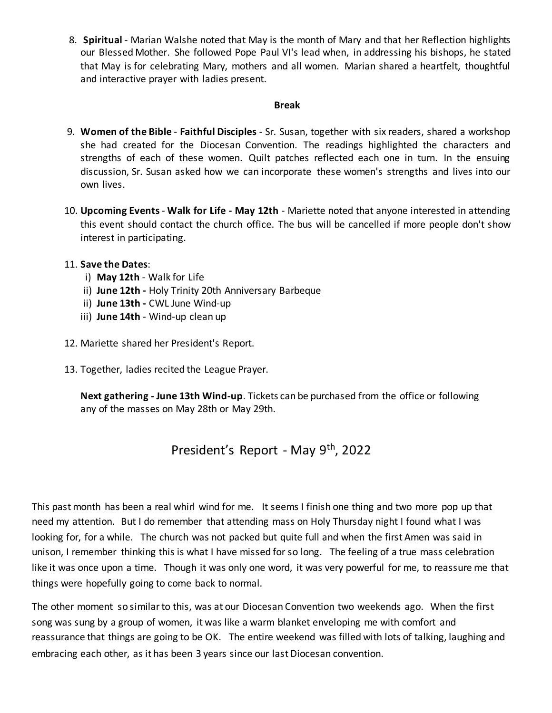8. **Spiritual** - Marian Walshe noted that May is the month of Mary and that her Reflection highlights our Blessed Mother. She followed Pope Paul VI's lead when, in addressing his bishops, he stated that May is for celebrating Mary, mothers and all women. Marian shared a heartfelt, thoughtful and interactive prayer with ladies present.

#### **Break**

- 9. **Women of the Bible Faithful Disciples** Sr. Susan, together with six readers, shared a workshop she had created for the Diocesan Convention. The readings highlighted the characters and strengths of each of these women. Quilt patches reflected each one in turn. In the ensuing discussion, Sr. Susan asked how we can incorporate these women's strengths and lives into our own lives.
- 10. **Upcoming Events Walk for Life - May 12th** Mariette noted that anyone interested in attending this event should contact the church office. The bus will be cancelled if more people don't show interest in participating.

### 11. **Save the Dates**:

- i) **May 12th** Walk for Life
- ii) **June 12th -** Holy Trinity 20th Anniversary Barbeque
- ii) **June 13th -** CWL June Wind-up
- iii) **June 14th** Wind-up clean up
- 12. Mariette shared her President's Report.
- 13. Together, ladies recited the League Prayer.

**Next gathering - June 13th Wind-up**. Tickets can be purchased from the office or following any of the masses on May 28th or May 29th.

# President's Report - May 9th, 2022

This past month has been a real whirl wind for me. It seems I finish one thing and two more pop up that need my attention. But I do remember that attending mass on Holy Thursday night I found what I was looking for, for a while. The church was not packed but quite full and when the first Amen was said in unison, I remember thinking this is what I have missed for so long. The feeling of a true mass celebration like it was once upon a time. Though it was only one word, it was very powerful for me, to reassure me that things were hopefully going to come back to normal.

The other moment so similar to this, was at our Diocesan Convention two weekends ago. When the first song was sung by a group of women, it was like a warm blanket enveloping me with comfort and reassurance that things are going to be OK. The entire weekend was filled with lots of talking, laughing and embracing each other, as it has been 3 years since our last Diocesan convention.